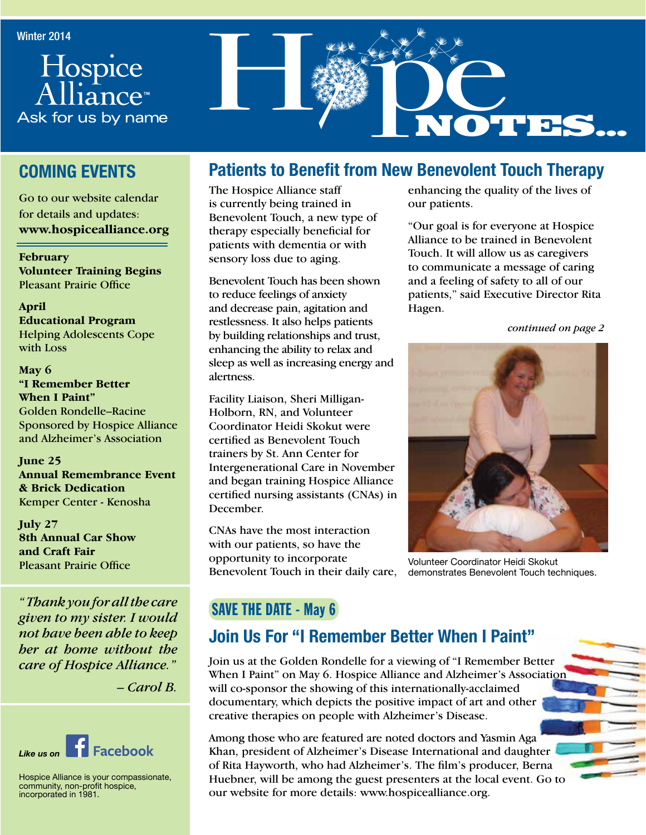



## **COMING EVENTS**

Go to our website calendar for details and updates: **www.hospicealliance.org**

**February Volunteer Training Begins** Pleasant Prairie Office

**April Educational Program** Helping Adolescents Cope with Loss

**May 6 "I Remember Better When I Paint"** Golden Rondelle–Racine Sponsored by Hospice Alliance and Alzheimer's Association

**June 25 Annual Remembrance Event & Brick Dedication** Kemper Center - Kenosha

**July 27 8th Annual Car Show and Craft Fair** Pleasant Prairie Office

*" Thank you for all the care given to my sister. I would not have been able to keep her at home without the care of Hospice Alliance."* 

*– Carol B.* 



Hospice Alliance is your compassionate, community, non-profit hospice, incorporated in 1981.

# **Patients to Benefit from New Benevolent Touch Therapy**

The Hospice Alliance staff is currently being trained in Benevolent Touch, a new type of therapy especially beneficial for patients with dementia or with sensory loss due to aging.

Benevolent Touch has been shown to reduce feelings of anxiety and decrease pain, agitation and restlessness. It also helps patients by building relationships and trust, enhancing the ability to relax and sleep as well as increasing energy and alertness.

Facility Liaison, Sheri Milligan-Holborn, RN, and Volunteer Coordinator Heidi Skokut were certified as Benevolent Touch trainers by St. Ann Center for Intergenerational Care in November and began training Hospice Alliance certified nursing assistants (CNAs) in December.

CNAs have the most interaction with our patients, so have the opportunity to incorporate Benevolent Touch in their daily care, enhancing the quality of the lives of our patients.

"Our goal is for everyone at Hospice Alliance to be trained in Benevolent Touch. It will allow us as caregivers to communicate a message of caring and a feeling of safety to all of our patients," said Executive Director Rita Hagen.

*continued on page 2*



Volunteer Coordinator Heidi Skokut demonstrates Benevolent Touch techniques.

## SAVE THE DATE - May 6

# **Join Us For "I Remember Better When I Paint"**

Join us at the Golden Rondelle for a viewing of "I Remember Better When I Paint" on May 6. Hospice Alliance and Alzheimer's Association will co-sponsor the showing of this internationally-acclaimed documentary, which depicts the positive impact of art and other creative therapies on people with Alzheimer's Disease.

Among those who are featured are noted doctors and Yasmin Aga Khan, president of Alzheimer's Disease International and daughter of Rita Hayworth, who had Alzheimer's. The film's producer, Berna Huebner, will be among the guest presenters at the local event. Go to our website for more details: www.hospicealliance.org.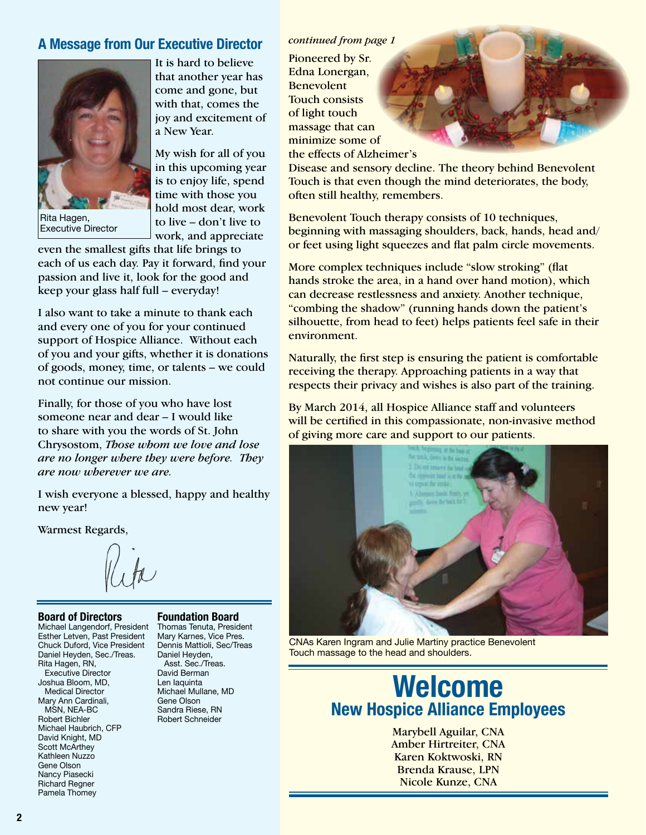### *continued from page 1* **A Message from Our Executive Director**



Executive Director

that another year has come and gone, but with that, comes the joy and excitement of a New Year.

It is hard to believe

My wish for all of you in this upcoming year is to enjoy life, spend time with those you hold most dear, work to live – don't live to work, and appreciate

even the smallest gifts that life brings to each of us each day. Pay it forward, find your passion and live it, look for the good and keep your glass half full – everyday!

I also want to take a minute to thank each and every one of you for your continued support of Hospice Alliance. Without each of you and your gifts, whether it is donations of goods, money, time, or talents – we could not continue our mission.

Finally, for those of you who have lost someone near and dear – I would like to share with you the words of St. John Chrysostom, *Those whom we love and lose are no longer where they were before. They are now wherever we are.*

I wish everyone a blessed, happy and healthy new year!

Warmest Regards,

### **Board of Directors**

Michael Langendorf, President Thomas Tenuta, President Esther Letven, Past President Chuck Duford, Vice President Daniel Heyden, Sec./Treas. Rita Hagen, RN, Executive Director Joshua Bloom, MD, Medical Director Mary Ann Cardinali, MSN, NEA-BC Robert Bichler Michael Haubrich, CFP David Knight, MD Scott McArthey Kathleen Nuzzo Gene Olson Nancy Piasecki Richard Regner Pamela Thomey

### **Foundation Board**

Mary Karnes, Vice Pres. Dennis Mattioli, Sec/Treas Daniel Heyden, Asst. Sec./Treas. David Berman Len Iaquinta Michael Mullane, MD Gene Olson Sandra Riese, RN Robert Schneider

Pioneered by Sr. Edna Lonergan, Benevolent Touch consists of light touch massage that can minimize some of the effects of Alzheimer's

Disease and sensory decline. The theory behind Benevolent Touch is that even though the mind deteriorates, the body, often still healthy, remembers.

Benevolent Touch therapy consists of 10 techniques, beginning with massaging shoulders, back, hands, head and/ or feet using light squeezes and flat palm circle movements.

More complex techniques include "slow stroking" (flat hands stroke the area, in a hand over hand motion), which can decrease restlessness and anxiety. Another technique, "combing the shadow" (running hands down the patient's silhouette, from head to feet) helps patients feel safe in their environment.

Naturally, the first step is ensuring the patient is comfortable receiving the therapy. Approaching patients in a way that respects their privacy and wishes is also part of the training.

By March 2014, all Hospice Alliance staff and volunteers will be certified in this compassionate, non-invasive method of giving more care and support to our patients.



CNAs Karen Ingram and Julie Martiny practice Benevolent Touch massage to the head and shoulders.

# **Welcome New Hospice Alliance Employees**

Marybell Aguilar, CNA Amber Hirtreiter, CNA Karen Koktwoski, RN Brenda Krause, LPN Nicole Kunze, CNA

**2**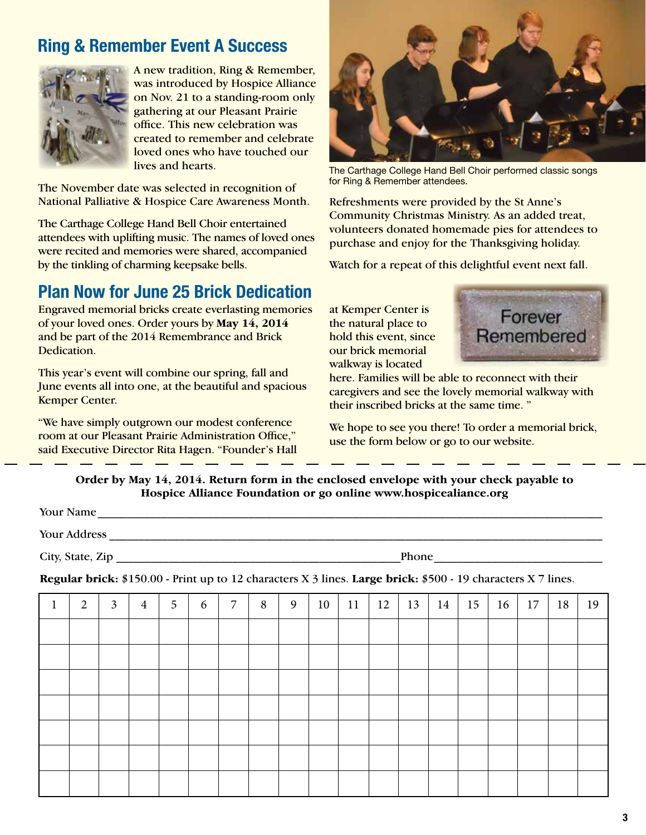# **Ring & Remember Event A Success**



A new tradition, Ring & Remember, was introduced by Hospice Alliance on Nov. 21 to a standing-room only gathering at our Pleasant Prairie office. This new celebration was created to remember and celebrate loved ones who have touched our lives and hearts.

The November date was selected in recognition of National Palliative & Hospice Care Awareness Month.

The Carthage College Hand Bell Choir entertained attendees with uplifting music. The names of loved ones were recited and memories were shared, accompanied by the tinkling of charming keepsake bells.

# **Plan Now for June 25 Brick Dedication**

Engraved memorial bricks create everlasting memories of your loved ones. Order yours by **May 14, 2014** and be part of the 2014 Remembrance and Brick Dedication.

This year's event will combine our spring, fall and June events all into one, at the beautiful and spacious Kemper Center.

"We have simply outgrown our modest conference room at our Pleasant Prairie Administration Office," said Executive Director Rita Hagen. "Founder's Hall



The Carthage College Hand Bell Choir performed classic songs for Ring & Remember attendees.

Refreshments were provided by the St Anne's Community Christmas Ministry. As an added treat, volunteers donated homemade pies for attendees to purchase and enjoy for the Thanksgiving holiday.

Watch for a repeat of this delightful event next fall.

at Kemper Center is the natural place to hold this event, since our brick memorial walkway is located



here. Families will be able to reconnect with their caregivers and see the lovely memorial walkway with their inscribed bricks at the same time. "

We hope to see you there! To order a memorial brick, use the form below or go to our website.

| Order by May 14, 2014. Return form in the enclosed envelope with your check payable to |
|----------------------------------------------------------------------------------------|
| Hospice Alliance Foundation or go online www.hospicealiance.org                        |

| Your Name                                                                                                    |              |  |  |  |  |  |  |  |
|--------------------------------------------------------------------------------------------------------------|--------------|--|--|--|--|--|--|--|
| Your Address                                                                                                 |              |  |  |  |  |  |  |  |
| City, State, Zip                                                                                             | <b>Phone</b> |  |  |  |  |  |  |  |
| Regular brick: \$150.00 - Print up to 12 characters X 3 lines. Large brick: \$500 - 19 characters X 7 lines. |              |  |  |  |  |  |  |  |

| $\mathbf{I}$ | 2 | $\mathfrak{Z}$ | $\overline{4}$ | 5 | 6 | $\overline{7}$ | 8 | 9 | 10 | 11 | 12 | 13 | 14 | 15 | 16 | 17 | 18 | 19 |
|--------------|---|----------------|----------------|---|---|----------------|---|---|----|----|----|----|----|----|----|----|----|----|
|              |   |                |                |   |   |                |   |   |    |    |    |    |    |    |    |    |    |    |
|              |   |                |                |   |   |                |   |   |    |    |    |    |    |    |    |    |    |    |
|              |   |                |                |   |   |                |   |   |    |    |    |    |    |    |    |    |    |    |
|              |   |                |                |   |   |                |   |   |    |    |    |    |    |    |    |    |    |    |
|              |   |                |                |   |   |                |   |   |    |    |    |    |    |    |    |    |    |    |
|              |   |                |                |   |   |                |   |   |    |    |    |    |    |    |    |    |    |    |
|              |   |                |                |   |   |                |   |   |    |    |    |    |    |    |    |    |    |    |